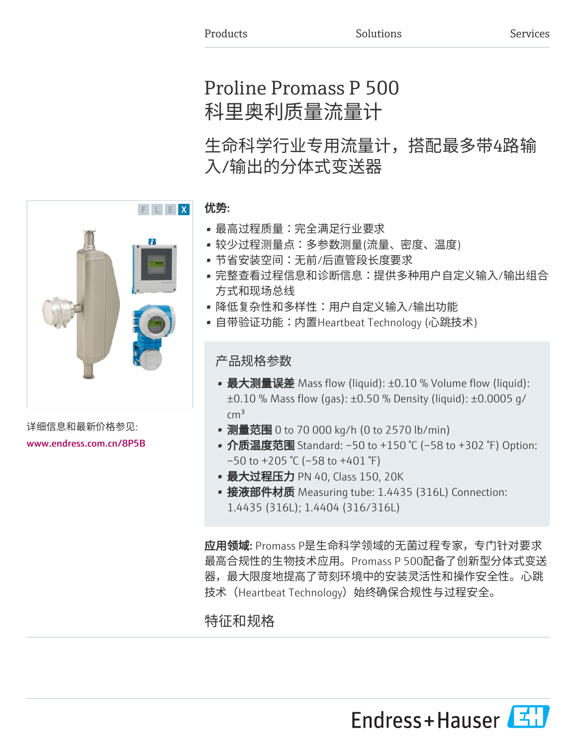# Proline Promass P 500 科里奥利质量流量计

生命科学行业专用流量计,搭配最多带4路输 入/输出的分体式变送器

### 优势:

- 最高过程质量:完全满足行业要求
- 较少过程测量点:多参数测量(流量、密度、温度)
- 节省安装空间:无前/后直管段长度要求
- 完整查看过程信息和诊断信息:提供多种用户自定义输入/输出组合 方式和现场总线
- 降低复杂性和多样性:用户自定义输入/输出功能
- 自带验证功能:内置Heartbeat Technology (心跳技术)

### 产品规格参数

- 最大测量误差 Mass flow (liquid): ±0.10 % Volume flow (liquid): ±0.10 % Mass flow (gas): ±0.50 % Density (liquid): ±0.0005 g/  $\rm cm^3$
- 测量范围 0 to 70 000 kg/h (0 to 2570 lb/min)
- 介质温度范围 Standard: -50 to +150 °C (-58 to +302 °F) Option:  $-50$  to  $+205$  °C ( $-58$  to  $+401$  °F)
- 最大过程压力 PN 40, Class 150, 20K
- 接液部件材质 Measuring tube: 1.4435 (316L) Connection: 1.4435 (316L); 1.4404 (316/316L)

应用领域: Promass P是生命科学领域的无菌过程专家,专门针对要求 最高合规性的生物技术应用。Promass P 500配备了创新型分体式变送 器,最大限度地提高了苛刻环境中的安装灵活性和操作安全性。心跳 技术 (Heartbeat Technology) 始终确保合规性与过程安全。

Endress+Hauser

## 特征和规格

详细信息和最新价格参见: [www.endress.com.cn/8P5B](https://www.endress.com.cn/8P5B)

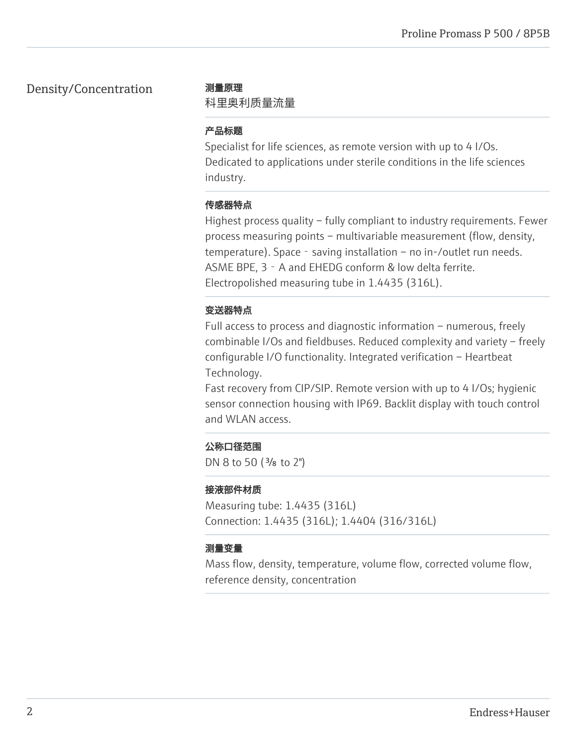### Density/Concentration 测量原理

科里奥利质量流量

### 产品标题

Specialist for life sciences, as remote version with up to 4 I/Os. Dedicated to applications under sterile conditions in the life sciences industry.

### 传感器特点

Highest process quality – fully compliant to industry requirements. Fewer process measuring points – multivariable measurement (flow, density, temperature). Space - saving installation – no in-/outlet run needs. ASME BPE, 3 - A and EHEDG conform & low delta ferrite. Electropolished measuring tube in 1.4435 (316L).

### 变送器特点

Full access to process and diagnostic information – numerous, freely combinable I/Os and fieldbuses. Reduced complexity and variety – freely configurable I/O functionality. Integrated verification – Heartbeat Technology.

Fast recovery from CIP/SIP. Remote version with up to 4 I/Os; hygienic sensor connection housing with IP69. Backlit display with touch control and WLAN access.

### 公称口径范围

DN 8 to 50 ( $\frac{3}{8}$  to 2")

### 接液部件材质

Measuring tube: 1.4435 (316L) Connection: 1.4435 (316L); 1.4404 (316/316L)

### 测量变量

Mass flow, density, temperature, volume flow, corrected volume flow, reference density, concentration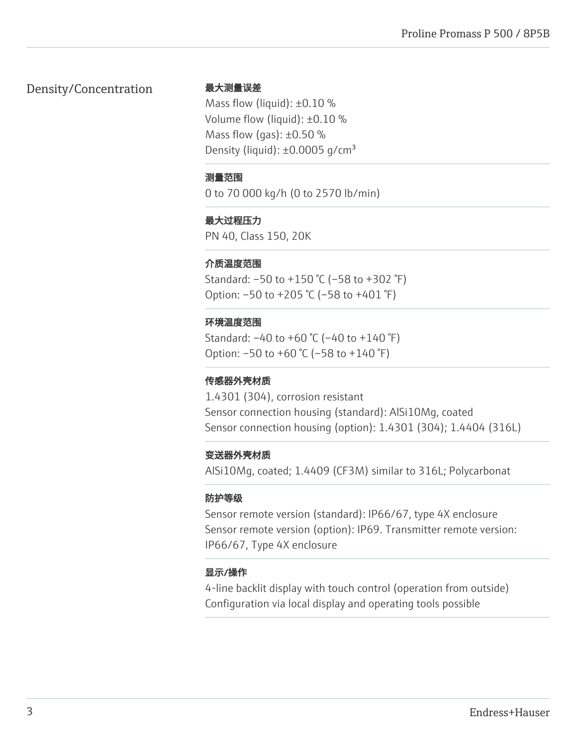### Density/Concentration

### 最大测量误差

Mass flow (liquid):  $\pm 0.10$  % Volume flow (liquid): ±0.10 % Mass flow (gas):  $\pm 0.50$  % Density (liquid):  $\pm 0.0005$  g/cm<sup>3</sup>

#### 测量范围

0 to 70 000 kg/h (0 to 2570 lb/min)

### 最大过程压力

PN 40, Class 150, 20K

### 介质温度范围

Standard: –50 to +150 °C (–58 to +302 °F) Option: –50 to +205 °C (–58 to +401 °F)

### 环境温度范围

Standard: –40 to +60 °C (–40 to +140 °F) Option: –50 to +60 °C (–58 to +140 °F)

### 传感器外壳材质

1.4301 (304), corrosion resistant Sensor connection housing (standard): AlSi10Mg, coated Sensor connection housing (option): 1.4301 (304); 1.4404 (316L)

### 变送器外壳材质

AlSi10Mg, coated; 1.4409 (CF3M) similar to 316L; Polycarbonat

### 防护等级

Sensor remote version (standard): IP66/67, type 4X enclosure Sensor remote version (option): IP69. Transmitter remote version: IP66/67, Type 4X enclosure

### 显示/操作

4-line backlit display with touch control (operation from outside) Configuration via local display and operating tools possible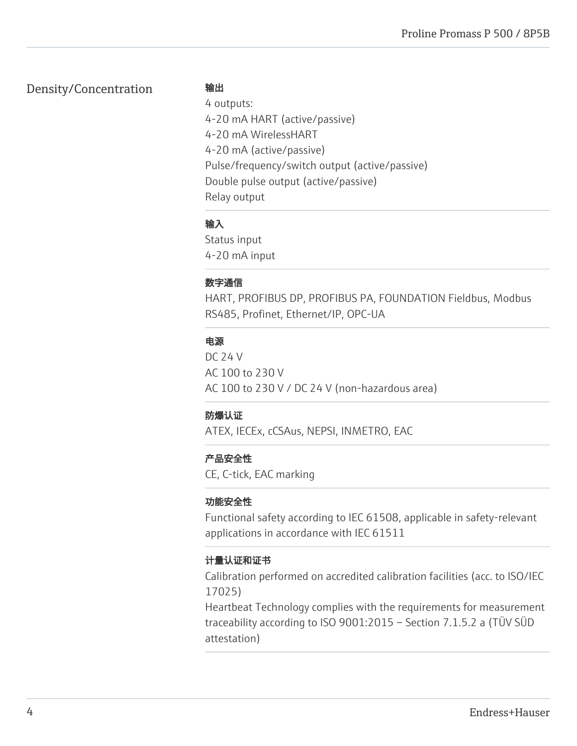### Density/Concentration

输出

4 outputs: 4-20 mA HART (active/passive) 4-20 mA WirelessHART 4-20 mA (active/passive) Pulse/frequency/switch output (active/passive) Double pulse output (active/passive) Relay output

### 输入

Status input 4-20 mA input

### 数字通信

HART, PROFIBUS DP, PROFIBUS PA, FOUNDATION Fieldbus, Modbus RS485, Profinet, Ethernet/IP, OPC-UA

### 电源

DC 24 V AC 100 to 230 V AC 100 to 230 V / DC 24 V (non-hazardous area)

### 防爆认证

ATEX, IECEx, cCSAus, NEPSI, INMETRO, EAC

### 产品安全性

CE, C-tick, EAC marking

### 功能安全性

Functional safety according to IEC 61508, applicable in safety-relevant applications in accordance with IEC 61511

### 计量认证和证书

Calibration performed on accredited calibration facilities (acc. to ISO/IEC 17025)

Heartbeat Technology complies with the requirements for measurement traceability according to ISO 9001:2015 – Section 7.1.5.2 a (TÜV SÜD attestation)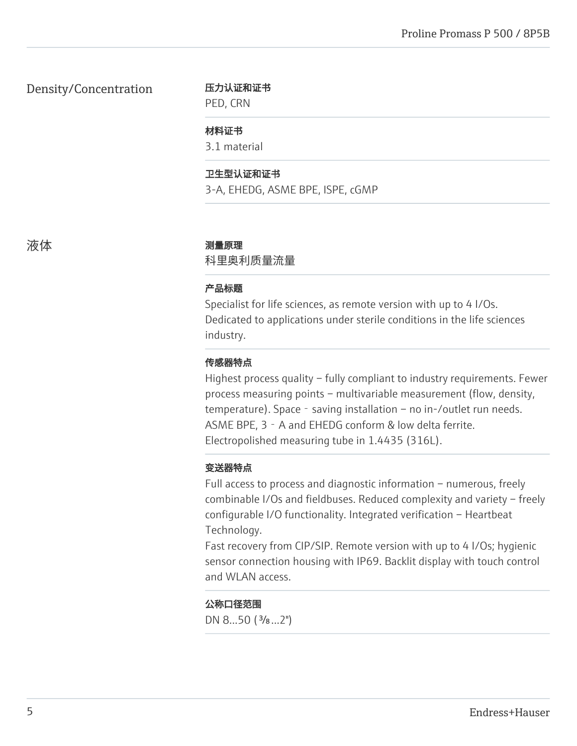Density/Concentration

#### 压力认证和证书

PED, CRN

#### 材料证书

3.1 material

#### 卫生型认证和证书

3-A, EHEDG, ASME BPE, ISPE, cGMP

#### 液体 あいかん かいしん 測量原理

科里奥利质量流量

#### 产品标题

Specialist for life sciences, as remote version with up to 4 I/Os. Dedicated to applications under sterile conditions in the life sciences industry.

#### 传感器特点

Highest process quality – fully compliant to industry requirements. Fewer process measuring points – multivariable measurement (flow, density, temperature). Space - saving installation – no in-/outlet run needs. ASME BPE, 3 - A and EHEDG conform & low delta ferrite. Electropolished measuring tube in 1.4435 (316L).

#### 变送器特点

Full access to process and diagnostic information – numerous, freely combinable I/Os and fieldbuses. Reduced complexity and variety – freely configurable I/O functionality. Integrated verification – Heartbeat Technology.

Fast recovery from CIP/SIP. Remote version with up to 4 I/Os; hygienic sensor connection housing with IP69. Backlit display with touch control and WLAN access.

#### 公称口径范围

DN 8...50 (3/8...2")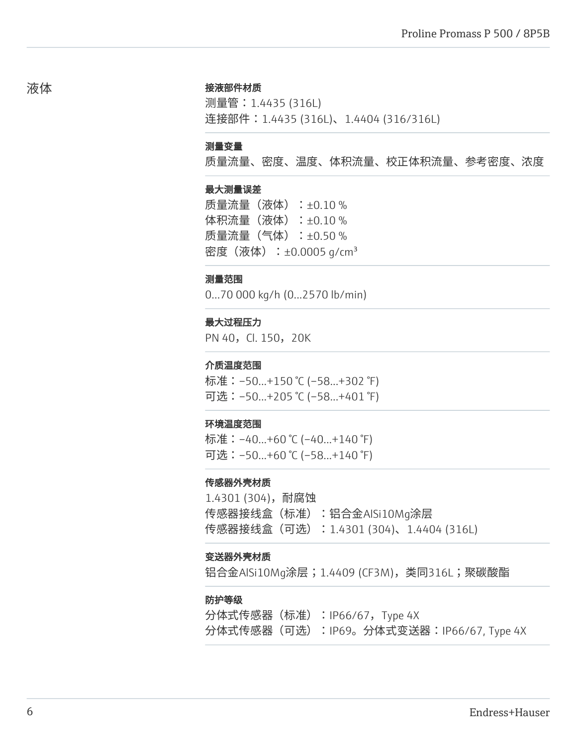#### 接液部件材质

测量管:1.4435 (316L) 连接部件: 1.4435 (316L)、1.4404 (316/316L)

#### 测量变量

质量流量、密度、温度、体积流量、校正体积流量、参考密度、浓度

#### 最大测量误差

质量流量(液体):±0.10 % 体积流量(液体):±0.10 % 质量流量(气体):±0.50 % 密度(液体): $\pm 0.0005$  g/cm<sup>3</sup>

#### 测量范围

0...70 000 kg/h (0...2570 lb/min)

#### 最大过程压力

PN 40, Cl. 150, 20K

#### 介质温度范围

标准:–50...+150 °C (–58...+302 °F) 可选:–50...+205 °C (–58...+401 °F)

#### 环境温度范围

标准:–40...+60 °C (–40...+140 °F) 可选:–50...+60 °C (–58...+140 °F)

#### 传感器外壳材质

1.4301 (304),耐腐蚀 传感器接线盒(标准):铝合金AlSi10Mg涂层 传感器接线盒(可选):1.4301 (304)、1.4404 (316L)

#### 变送器外壳材质

铝合金AlSi10Mq涂层;1.4409 (CF3M),类同316L;聚碳酸酯

#### 防护等级

分体式传感器(标准):IP66/67,Type 4X 分体式传感器(可选):IP69。分体式变送器:IP66/67, Type 4X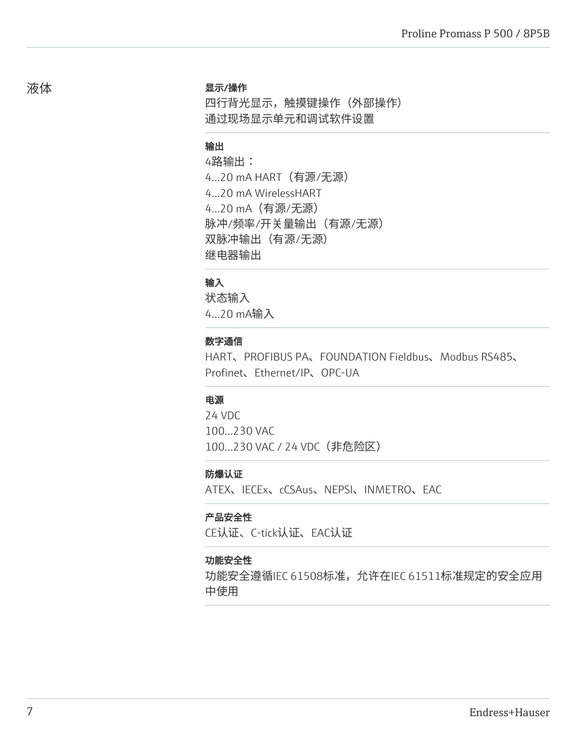#### 显示/操作

四行背光显示,触摸键操作(外部操作) 通过现场显示单元和调试软件设置

### 输出

4路输出: 4...20 mA HART(有源/无源) 4...20 mA WirelessHART 4...20 mA(有源/无源) 脉冲/频率/开关量输出(有源/无源) 双脉冲输出(有源/无源) 继电器输出

### 输入

状态输入 4...20 mA输入

#### 数字通信

HART、PROFIBUS PA、FOUNDATION Fieldbus、Modbus RS485、 Profinet、Ethernet/IP、OPC-UA

### 电源

24 VDC 100...230 VAC 100...230 VAC / 24 VDC (非危险区)

#### 防爆认证

ATEX、IECEx、cCSAus、NEPSI、INMETRO、EAC

#### 产品安全性

CE认证、C-tick认证、EAC认证

#### 功能安全性

功能安全遵循IEC 61508标准,允许在IEC 61511标准规定的安全应用 中使用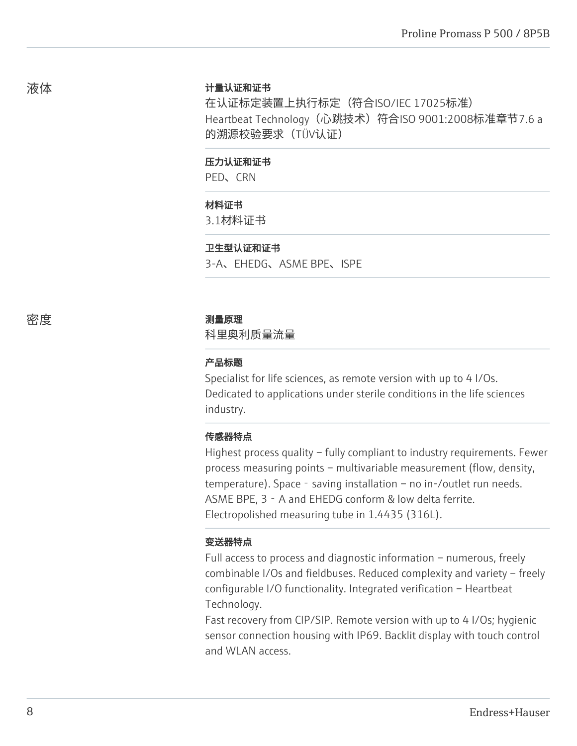#### 计量认证和证书

在认证标定装置上执行标定(符合ISO/IEC 17025标准) Heartbeat Technology (心跳技术) 符合ISO 9001:2008标准章节7.6 a 的溯源校验要求(TÜV认证)

#### 压力认证和证书

PED、CRN

#### 材料证书

3.1材料证书

#### 卫生型认证和证书

3-A、EHEDG、ASME BPE、ISPE

#### 密度 しょうしゃ あいしゃ 測量原理

科里奥利质量流量

#### 产品标题

Specialist for life sciences, as remote version with up to 4 I/Os. Dedicated to applications under sterile conditions in the life sciences industry.

#### 传感器特点

Highest process quality – fully compliant to industry requirements. Fewer process measuring points – multivariable measurement (flow, density, temperature). Space - saving installation – no in-/outlet run needs. ASME BPE, 3‐A and EHEDG conform & low delta ferrite. Electropolished measuring tube in 1.4435 (316L).

### 变送器特点

Full access to process and diagnostic information – numerous, freely combinable I/Os and fieldbuses. Reduced complexity and variety – freely configurable I/O functionality. Integrated verification – Heartbeat Technology.

Fast recovery from CIP/SIP. Remote version with up to 4 I/Os; hygienic sensor connection housing with IP69. Backlit display with touch control and WLAN access.